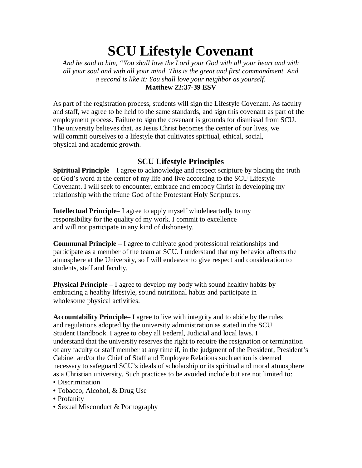## **SCU Lifestyle Covenant**

*And he said to him, "You shall love the Lord your God with all your heart and with all your soul and with all your mind. This is the great and first commandment. And a second is like it: You shall love your neighbor as yourself.* **Matthew 22:37-39 ESV**

As part of the registration process, students will sign the Lifestyle Covenant. As faculty and staff, we agree to be held to the same standards, and sign this covenant as part of the employment process. Failure to sign the covenant is grounds for dismissal from SCU. The university believes that, as Jesus Christ becomes the center of our lives, we will commit ourselves to a lifestyle that cultivates spiritual, ethical, social, physical and academic growth.

## **SCU Lifestyle Principles**

**Spiritual Principle** – I agree to acknowledge and respect scripture by placing the truth of God's word at the center of my life and live according to the SCU Lifestyle Covenant. I will seek to encounter, embrace and embody Christ in developing my relationship with the triune God of the Protestant Holy Scriptures.

**Intellectual Principle**– I agree to apply myself wholeheartedly to my responsibility for the quality of my work. I commit to excellence and will not participate in any kind of dishonesty.

**Communal Principle** – I agree to cultivate good professional relationships and participate as a member of the team at SCU. I understand that my behavior affects the atmosphere at the University, so I will endeavor to give respect and consideration to students, staff and faculty.

**Physical Principle** – I agree to develop my body with sound healthy habits by embracing a healthy lifestyle, sound nutritional habits and participate in wholesome physical activities.

**Accountability Principle**– I agree to live with integrity and to abide by the rules and regulations adopted by the university administration as stated in the SCU Student Handbook. I agree to obey all Federal, Judicial and local laws. I understand that the university reserves the right to require the resignation or termination of any faculty or staff member at any time if, in the judgment of the President, President's Cabinet and/or the Chief of Staff and Employee Relations such action is deemed necessary to safeguard SCU's ideals of scholarship or its spiritual and moral atmosphere as a Christian university. Such practices to be avoided include but are not limited to:

- Discrimination
- Tobacco, Alcohol, & Drug Use
- Profanity
- Sexual Misconduct & Pornography